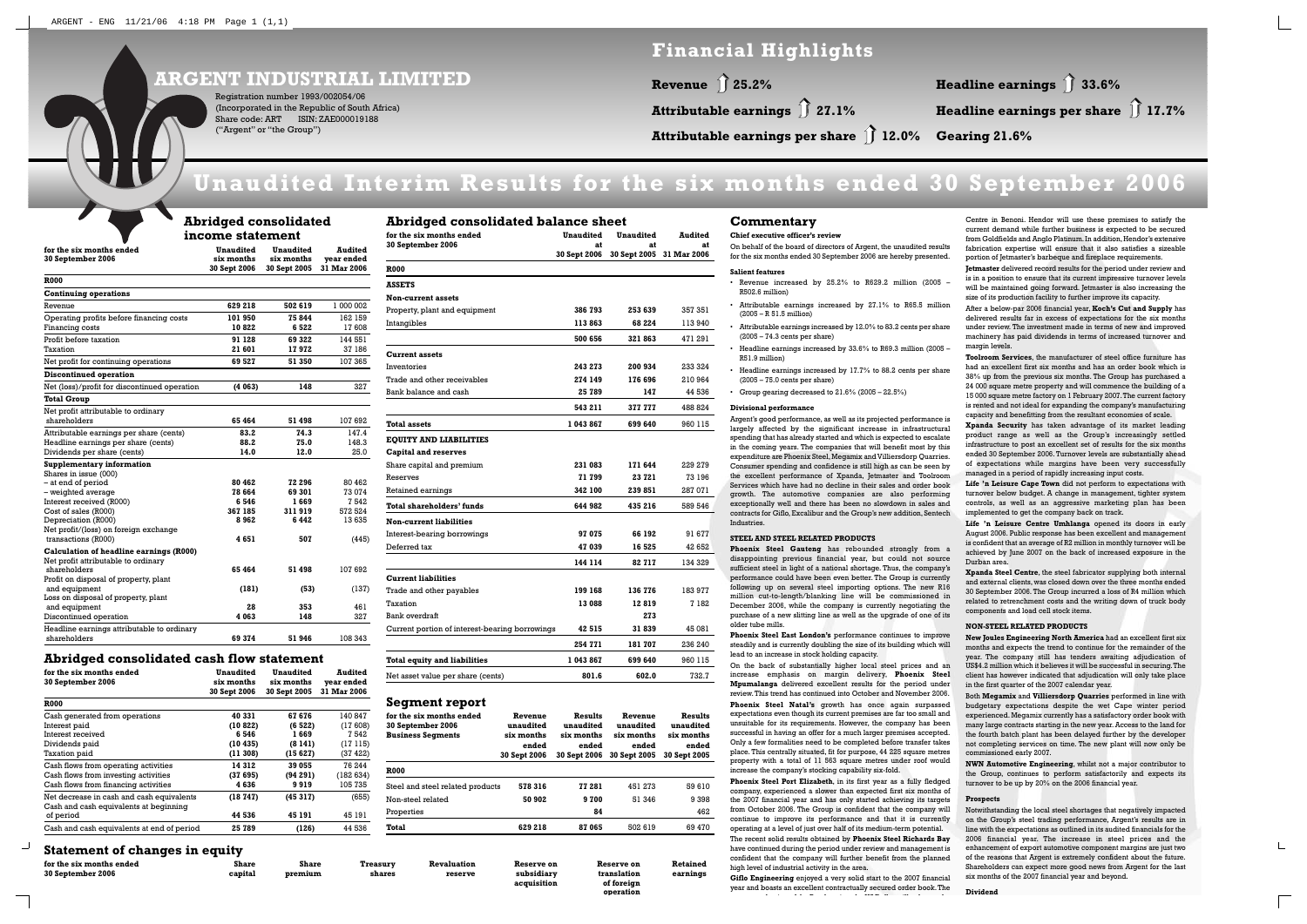# **Unaudited Interim Results for the six months ended 30 September 2006**

## **ARGENT INDUSTRIAL LIMITED**

Registration number 1993/002054/06 (Incorporated in the Republic of South Africa) Share code: ART ISIN: ZAE000019188 ("Argent" or "the Group")

# **Financial Highlights**

Attributable earnings  $\int$  27.1%

**Revenue 25.2%** ➥

**Attributable earnings per share 12.0% Gearing 21.6%** ➥

# **Headline earnings 33.6%** ➥**Headline earnings per share 17.7%** ➥

#### **Abridged consolidated income statement**

| for the six months ended<br>30 September 2006                                                         | <b>Unaudited</b><br>six months<br>30 Sept 2006 | <b>Unaudited</b><br>six months<br>30 Sept 2005 | Audited<br>vear ended<br>31 Mar 2006 |  |  |  |
|-------------------------------------------------------------------------------------------------------|------------------------------------------------|------------------------------------------------|--------------------------------------|--|--|--|
| <b>R000</b>                                                                                           |                                                |                                                |                                      |  |  |  |
| <b>Continuing operations</b>                                                                          |                                                |                                                |                                      |  |  |  |
| Revenue                                                                                               | 629 218                                        | 502 619                                        | 1 000 002                            |  |  |  |
| Operating profits before financing costs                                                              | 101950                                         | 75844                                          | 162 159                              |  |  |  |
| Financing costs                                                                                       | 10 822                                         | 6 522                                          | 17 608                               |  |  |  |
| Profit before taxation                                                                                | 91 128                                         | 69 322                                         | 144 551                              |  |  |  |
| Taxation                                                                                              | 21 601                                         | 17972                                          | 37 186                               |  |  |  |
| Net profit for continuing operations                                                                  | 69 527                                         | 51 350                                         | 107 365                              |  |  |  |
| <b>Discontinued operation</b>                                                                         |                                                |                                                |                                      |  |  |  |
| Net (loss)/profit for discontinued operation                                                          | (4063)                                         | 148                                            | 327                                  |  |  |  |
| <b>Total Group</b>                                                                                    |                                                |                                                |                                      |  |  |  |
| Net profit attributable to ordinary<br>shareholders                                                   | 65 464                                         | 51 498                                         | 107 692                              |  |  |  |
| Attributable earnings per share (cents)                                                               | 83.2                                           | 74.3                                           | 147.4                                |  |  |  |
| Headline earnings per share (cents)                                                                   | 88.2                                           | 75.0                                           | 148.3                                |  |  |  |
| Dividends per share (cents)                                                                           | 14.0                                           | 12.0                                           | 25.0                                 |  |  |  |
| Supplementary information                                                                             |                                                |                                                |                                      |  |  |  |
| Shares in issue (000)<br>- at end of period                                                           | 80 462                                         | 72 296                                         | 80 462                               |  |  |  |
| - weighted average                                                                                    | 78 664                                         | 69 301                                         | 73 074                               |  |  |  |
| Interest received (R000)                                                                              | 6 546                                          | 1669                                           | 7 542                                |  |  |  |
| Cost of sales (R000)                                                                                  | 367 185                                        | 311919                                         | 572 524                              |  |  |  |
| Depreciation (R000)                                                                                   | 8962                                           | 6442                                           | 13635                                |  |  |  |
| Net profit/(loss) on foreign exchange                                                                 | 4651                                           | 507                                            |                                      |  |  |  |
| transactions (R000)<br>Calculation of headline earnings (R000)<br>Net profit attributable to ordinary |                                                |                                                | (445)                                |  |  |  |
| shareholders                                                                                          | 65 464                                         | 51498                                          | 107 692                              |  |  |  |
| Profit on disposal of property, plant                                                                 |                                                |                                                |                                      |  |  |  |
| and equipment<br>Loss on disposal of property, plant                                                  | (181)                                          | (53)                                           | (137)                                |  |  |  |
| and equipment                                                                                         | 28                                             | 353                                            | 461                                  |  |  |  |
| Discontinued operation                                                                                | 4 063                                          | 148                                            | 327                                  |  |  |  |
| Headline earnings attributable to ordinary<br>shareholders                                            | 69 374                                         | 51946                                          | 108 343                              |  |  |  |

### **Abridged consolidated cash flow statement**

| for the six months ended<br>30 September 2006                                       | Unaudited<br>six months<br>30 Sept 2006 | Unaudited<br>six months<br>30 Sept 2005 | Audited<br>year ended<br>31 Mar 2006 |
|-------------------------------------------------------------------------------------|-----------------------------------------|-----------------------------------------|--------------------------------------|
| <b>R000</b>                                                                         |                                         |                                         |                                      |
| Cash generated from operations                                                      | 40 331                                  | 67 676                                  | 140 847                              |
| Interest paid                                                                       | (10822)                                 | (6522)                                  | (17608)                              |
| Interest received                                                                   | 6 546                                   | 1669                                    | 7542                                 |
| Dividends paid                                                                      | (10435)                                 | (8141)                                  | (17115)                              |
| Taxation paid                                                                       | (11308)                                 | (15627)                                 | (37 422)                             |
| Cash flows from operating activities                                                | 14 312                                  | 39 055                                  | 76 244                               |
| Cash flows from investing activities                                                | (37695)                                 | (94 291)                                | (182634)                             |
| Cash flows from financing activities                                                | 4 636                                   | 9919                                    | 105 735                              |
| Net decrease in cash and cash equivalents<br>Cash and cash equivalents at beginning | (18747)                                 | (45317)                                 | (655)                                |
| of period                                                                           | 44 536                                  | 45 191                                  | 45 191                               |
| Cash and cash equivalents at end of period                                          | 25 789                                  | (126)                                   | 44 536                               |

| for the six months ended                       | <b>Unaudited</b>   | <b>Unaudited</b>   | <b>Audited</b>    |  |
|------------------------------------------------|--------------------|--------------------|-------------------|--|
| <b>30 September 2006</b>                       | at<br>30 Sept 2006 | at<br>30 Sept 2005 | at<br>31 Mar 2006 |  |
| <b>R000</b>                                    |                    |                    |                   |  |
| <b>ASSETS</b>                                  |                    |                    |                   |  |
| <b>Non-current assets</b>                      |                    |                    |                   |  |
| Property, plant and equipment                  | 386 793            | 253 639            | 357 351           |  |
| Intangibles                                    | 113863             | 68 224             | 113 940           |  |
|                                                | 500 656            | 321863             | 471 291           |  |
| <b>Current assets</b>                          |                    |                    |                   |  |
| Inventories                                    | 243 273            | 200 934            | 233 324           |  |
| Trade and other receivables                    | 274 149            | 176 696            | 210 964           |  |
| Bank balance and cash                          | 25 789             | 147                | 44 536            |  |
|                                                | 543 211            | 377 777            | 488 824           |  |
| Total assets                                   | 1043867            | 699 640            | 960 115           |  |
| <b>EQUITY AND LIABILITIES</b>                  |                    |                    |                   |  |
| <b>Capital and reserves</b>                    |                    |                    |                   |  |
| Share capital and premium                      | 231 083            | 171 644            | 229 279           |  |
| Reserves                                       | 71 799             | 23721              | 73 196            |  |
| Retained earnings                              | 342 100            | 239851             | 287 071           |  |
| <b>Total shareholders' funds</b>               | 644 982            | 435 216            | 589 546           |  |
| <b>Non-current liabilities</b>                 |                    |                    |                   |  |
| Interest-bearing borrowings                    | 97 075             | 66 192             | 91677             |  |
| Deferred tax                                   | 47 039             | 16 525             | 42 652            |  |
|                                                | 144 114            | 82 717             | 134 329           |  |
| <b>Current liabilities</b>                     |                    |                    |                   |  |
| Trade and other payables                       | 199 168            | 136 776            | 183 977           |  |
| Taxation                                       | 13 088             | 12819              | 7 182             |  |
| Bank overdraft                                 |                    | 273                |                   |  |
| Current portion of interest-bearing borrowings | 42 515             | 31839              | 45 081            |  |
|                                                | 254 771            | 181 707            | 236 240           |  |
| <b>Total equity and liabilities</b>            | 1 043 867          | 699 640            | 960 115           |  |
| Net asset value per share (cents)              | 801.6              | 602.0              | 732.7             |  |

**Segment report**

**for the six months ended Revenue Results Revenue Results**

**30 September 2006 unaudited unaudited unaudited unaudited**

**Business Segments six months six months six months six months** 

**ended ended ended ended**

**30 Sept 2006 30 Sept 2006 30 Sept 2005 30 Sept 2005**

margin levels.

**R000**

Steel and steel related products **578 316 77 281** 451 273 59 610

Non-steel related

**50 902 9 700** 51 346 9 398

Properties **84** 462

**Total 629 218 87 065**

502 619 69 470

ended

## **Statement of changes in equity**

 $\perp$ 

| for the six months ended | <b>Share</b> | Share   | <b>Treasurv</b> | Revaluation | Reserve on             | Reserve on                   | Retained |
|--------------------------|--------------|---------|-----------------|-------------|------------------------|------------------------------|----------|
| 30 September 2006        | capital      | premium | shares          | reserve     | subsidiary             | translation                  | earnings |
|                          |              |         |                 |             | المدام فكافح فالمسدسات | - <i>- - - - - - -</i> - - - |          |

**acquisition of foreign operation**

## **Commentary**

#### **Chief executive officer's review**

 On behalf of the board of directors of Argent, the unaudited results for the six months ended 30 September 2006 are hereby presented.

#### **Salient features**

- Revenue increased by 25.2% to R629.2 million (2005 R502.6 million)
- Attributable earnings increased by 27.1% to R65.5 million  $(2005 - R_5)$  51.5 million
- Attributable earnings increased by 12.0% to 83.2 cents per share (2005 – 74.3 cents per share)
- Headline earnings increased by 33.6% to R69.3 million (2005 R51.9 million)
- Headline earnings increased by 17.7% to 88.2 cents per share (2005 – 75.0 cents per share)
- Group gearing decreased to 21.6% (2005 22.5%)

#### **Divisional performance**

**New Joules Engineering North America** had an excellent first six months and expects the trend to continue for the remainder of the year. The company still has tenders awaiting adjudication of US\$4.2 million which it believes it will be successful in securing.The client has however indicated that adjudication will only take place in the first quarter of the 2007 calendar year.

Argent's good performance, as well as its projected performance is largely affected by the significant increase in infrastructural spending that has already started and which is expected to escalate in the coming years. The companies that will benefit most by this expenditure are Phoenix Steel, Megamix and Villiersdorp Quarries. Consumer spending and confidence is still high as can be seen by the excellent performance of Xpanda, Jetmaster and Toolroom Services which have had no decline in their sales and order bookgrowth. The automotive companies are also performing exceptionally well and there has been no slowdown in sales and contracts for Giflo, Excalibur and the Group's new addition, Sentech Industries.

#### **STEEL AND STEEL RELATED PRODUCTS**

**Phoenix Steel Gauteng** has rebounded strongly from a

disappointing previous financial year, but could not source sufficient steel in light of a national shortage. Thus, the company's performance could have been even better. The Group is currently following up on several steel importing options. The new R16 million cut-to-length/blanking line will be commissioned in December 2006, while the company is currently negotiating the purchase of a new slitting line as well as the upgrade of one of its older tube mills.

**Phoenix Steel East London's** performance continues to improve steadily and is currently doubling the size of its building which will lead to an increase in stock holding capacity.

On the back of substantially higher local steel prices and an increase emphasis on margin delivery, **Phoenix Steel Mpumalanga** delivered excellent results for the period under review. This trend has continued into October and November 2006.**Phoenix Steel Natal's** growth has once again surpassed expectations even though its current premises are far too small and unsuitable for its requirements. However, the company has been successful in having an offer for a much larger premises accepted. Only a few formalities need to be completed before transfer takes place. This centrally situated, fit for purpose, 44 225 square metres property with a total of 11 563 square metres under roof would increase the company's stocking capability six-fold.

**Phoenix Steel Port Elizabeth**, in its first year as a fully fledged company, experienced a slower than expected first six months of the 2007 financial year and has only started achieving its targets from October 2006. The Group is confident that the company will continue to improve its performance and that it is currently operating at a level of just over half of its medium-term potential. The recent solid results obtained by **Phoenix Steel Richards Bay** have continued during the period under review and management is confident that the company will further benefit from the planned high level of industrial activity in the area.

**Giflo Engineering** enjoyed a very solid start to the 2007 financial year and boasts an excellent contractually secured order book. The

k i f h R d i h US

unaudited

D ll ill h h

Centre in Benoni. Hendor will use these premises to satisfy the current demand while further business is expected to be secured from Goldfields and Anglo Platinum. In addition, Hendor's extensive fabrication expertise will ensure that it also satisfies a sizeable portion of Jetmaster's barbeque and fireplace requirements.

**Jetmaster** delivered record results for the period under review and is in a position to ensure that its current impressive turnover levels will be maintained going forward. Jetmaster is also increasing the size of its production facility to further improve its capacity.

After a below-par 2006 financial year, **Koch's Cut and Supply** has delivered results far in excess of expectations for the six months under review. The investment made in terms of new and improved machinery has paid dividends in terms of increased turnover and

**Toolroom Services**, the manufacturer of steel office furniture has had an excellent first six months and has an order book which is 38% up from the previous six months. The Group has purchased a 24 000 square metre property and will commence the building of a 15 000 square metre factory on 1 February 2007.The current factory is rented and not ideal for expanding the company's manufacturing capacity and benefitting from the resultant economies of scale.

**Xpanda Security** has taken advantage of its market leading product range as well as the Group's increasingly settled infrastructure to post an excellent set of results for the six months ended 30 September 2006. Turnover levels are substantially ahead of expectations while margins have been very successfully managed in a period of rapidly increasing input costs.

**Life 'n Leisure Cape Town** did not perform to expectations with turnover below budget. A change in management, tighter system controls, as well as an aggressive marketing plan has been implemented to get the company back on track.

**Life 'n Leisure Centre Umhlanga** opened its doors in early August 2006. Public response has been excellent and management is confident that an average of R2 million in monthly turnover will be achieved by June 2007 on the back of increased exposure in the Durban area.

**Xpanda Steel Centre**, the steel fabricator supplying both internal and external clients, was closed down over the three months ended 30 September 2006. The Group incurred a loss of R4 million which related to retrenchment costs and the writing down of truck body components and load cell stock items.

#### **NON-STEEL RELATED PRODUCTS**

Both **Megamix** and **Villiersdorp Quarries** performed in line with budgetary expectations despite the wet Cape winter period experienced. Megamix currently has a satisfactory order book with many large contracts starting in the new year. Access to the land for the fourth batch plant has been delayed further by the developer not completing services on time. The new plant will now only be commissioned early 2007. **NWN Automotive Engineering**, whilst not a major contributor to the Group, continues to perform satisfactorily and expects its turnover to be up by 20% on the 2006 financial year.

**Prospects**

Notwithstanding the local steel shortages that negatively impacted on the Group's steel trading performance, Argent's results are in line with the expectations as outlined in its audited financials for the 2006 financial year. The increase in steel prices and the enhancement of export automotive component margins are just two of the reasons that Argent is extremely confident about the future. Shareholders can expect more good news from Argent for the last six months of the 2007 financial year and beyond.

 $\mathbb{L}$